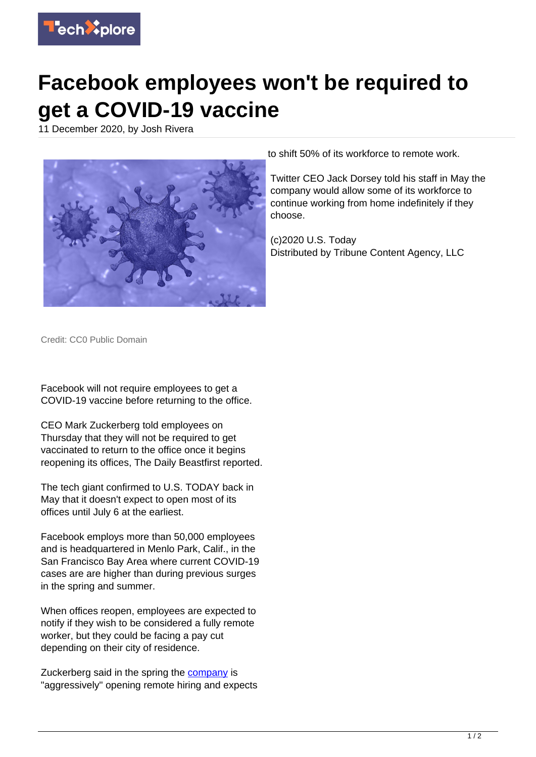

## **Facebook employees won't be required to get a COVID-19 vaccine**

11 December 2020, by Josh Rivera



to shift 50% of its workforce to remote work.

Twitter CEO Jack Dorsey told his staff in May the company would allow some of its workforce to continue working from home indefinitely if they choose.

(c)2020 U.S. Today Distributed by Tribune Content Agency, LLC

Credit: CC0 Public Domain

Facebook will not require employees to get a COVID-19 vaccine before returning to the office.

CEO Mark Zuckerberg told employees on Thursday that they will not be required to get vaccinated to return to the office once it begins reopening its offices, The Daily Beastfirst reported.

The tech giant confirmed to U.S. TODAY back in May that it doesn't expect to open most of its offices until July 6 at the earliest.

Facebook employs more than 50,000 employees and is headquartered in Menlo Park, Calif., in the San Francisco Bay Area where current COVID-19 cases are are higher than during previous surges in the spring and summer.

When offices reopen, employees are expected to notify if they wish to be considered a fully remote worker, but they could be facing a pay cut depending on their city of residence.

Zuckerberg said in the spring the [company](https://techxplore.com/tags/company/) is "aggressively" opening remote hiring and expects